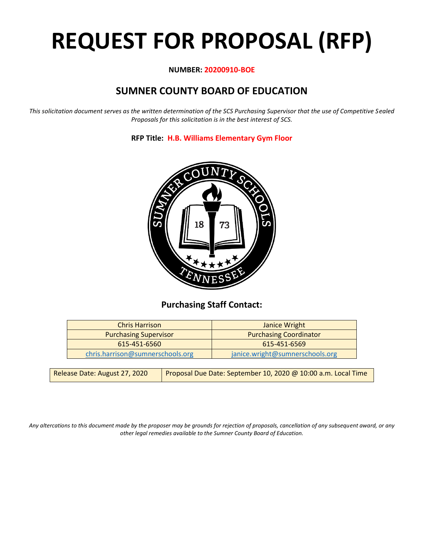# **REQUEST FOR PROPOSAL (RFP)**

#### **NUMBER: 20200910-BOE**

### **SUMNER COUNTY BOARD OF EDUCATION**

*This solicitation document serves as the written determination of the SCS Purchasing Supervisor that the use of Competitive Sealed Proposals for this solicitation is in the best interest of SCS.*

**RFP Title: H.B. Williams Elementary Gym Floor**



#### **Purchasing Staff Contact:**

| <b>Chris Harrison</b>            | Janice Wright                   |
|----------------------------------|---------------------------------|
| <b>Purchasing Supervisor</b>     | <b>Purchasing Coordinator</b>   |
| 615-451-6560                     | 615-451-6569                    |
| chris.harrison@sumnerschools.org | janice.wright@sumnerschools.org |

| Release Date: August 27, 2020 | Proposal Due Date: September 10, 2020 @ 10:00 a.m. Local Time |
|-------------------------------|---------------------------------------------------------------|
|-------------------------------|---------------------------------------------------------------|

*Any altercations to this document made by the proposer may be grounds for rejection of proposals, cancellation of any subsequent award, or any other legal remedies available to the Sumner County Board of Education.*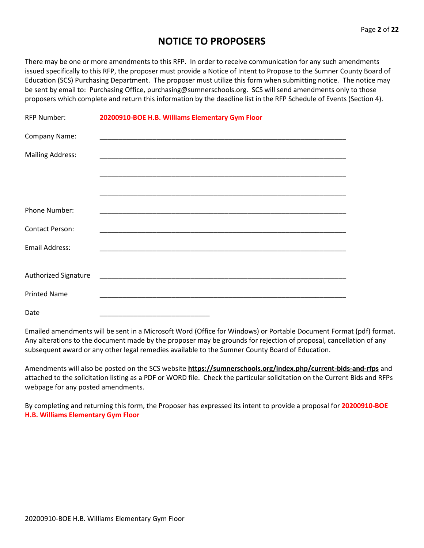#### **NOTICE TO PROPOSERS**

There may be one or more amendments to this RFP. In order to receive communication for any such amendments issued specifically to this RFP, the proposer must provide a Notice of Intent to Propose to the Sumner County Board of Education (SCS) Purchasing Department. The proposer must utilize this form when submitting notice. The notice may be sent by email to: Purchasing Office, purchasing@sumnerschools.org. SCS will send amendments only to those proposers which complete and return this information by the deadline list in the RFP Schedule of Events (Section 4).

| <b>RFP Number:</b>      | 20200910-BOE H.B. Williams Elementary Gym Floor             |
|-------------------------|-------------------------------------------------------------|
| Company Name:           |                                                             |
| <b>Mailing Address:</b> |                                                             |
|                         |                                                             |
|                         |                                                             |
| <b>Phone Number:</b>    |                                                             |
| <b>Contact Person:</b>  |                                                             |
| <b>Email Address:</b>   | <u> 1989 - Johann Stein, Amerikaansk politiker († 1908)</u> |
| Authorized Signature    |                                                             |
| <b>Printed Name</b>     |                                                             |
| Date                    |                                                             |

Emailed amendments will be sent in a Microsoft Word (Office for Windows) or Portable Document Format (pdf) format. Any alterations to the document made by the proposer may be grounds for rejection of proposal, cancellation of any subsequent award or any other legal remedies available to the Sumner County Board of Education.

Amendments will also be posted on the SCS website **https://sumnerschools.org/index.php/current-bids-and-rfps** and attached to the solicitation listing as a PDF or WORD file. Check the particular solicitation on the Current Bids and RFPs webpage for any posted amendments.

By completing and returning this form, the Proposer has expressed its intent to provide a proposal for **20200910-BOE H.B. Williams Elementary Gym Floor**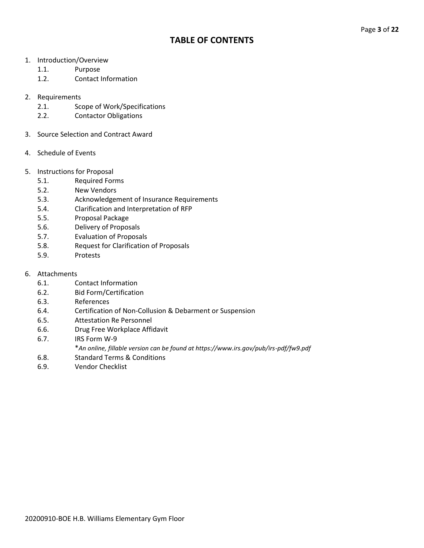#### **TABLE OF CONTENTS**

- 1. Introduction/Overview
	- 1.1. Purpose
	- 1.2. Contact Information
- 2. Requirements
	- 2.1. Scope of Work/Specifications
	- 2.2. Contactor Obligations
- 3. Source Selection and Contract Award
- 4. Schedule of Events
- 5. Instructions for Proposal
	- 5.1. Required Forms
	- 5.2. New Vendors
	- 5.3. Acknowledgement of Insurance Requirements
	- 5.4. Clarification and Interpretation of RFP
	- 5.5. Proposal Package
	- 5.6. Delivery of Proposals
	- 5.7. Evaluation of Proposals
	- 5.8. Request for Clarification of Proposals
	- 5.9. Protests
- 6. Attachments
	- 6.1. Contact Information
	- 6.2. Bid Form/Certification
	- 6.3. References
	- 6.4. Certification of Non-Collusion & Debarment or Suspension
	- 6.5. Attestation Re Personnel
	- 6.6. Drug Free Workplace Affidavit
	- 6.7. IRS Form W-9
		- \**An online, fillable version can be found at https://www.irs.gov/pub/irs-pdf/fw9.pdf*
	- 6.8. Standard Terms & Conditions
	- 6.9. Vendor Checklist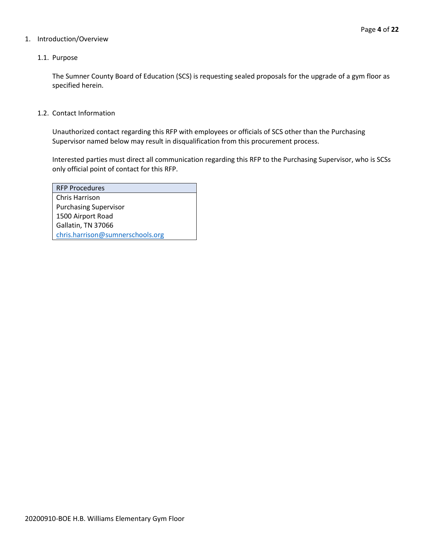#### 1. Introduction/Overview

#### 1.1. Purpose

The Sumner County Board of Education (SCS) is requesting sealed proposals for the upgrade of a gym floor as specified herein.

#### 1.2. Contact Information

Unauthorized contact regarding this RFP with employees or officials of SCS other than the Purchasing Supervisor named below may result in disqualification from this procurement process.

Interested parties must direct all communication regarding this RFP to the Purchasing Supervisor, who is SCSs only official point of contact for this RFP.

| <b>RFP Procedures</b>            |
|----------------------------------|
| Chris Harrison                   |
| <b>Purchasing Supervisor</b>     |
| 1500 Airport Road                |
| Gallatin, TN 37066               |
| chris.harrison@sumnerschools.org |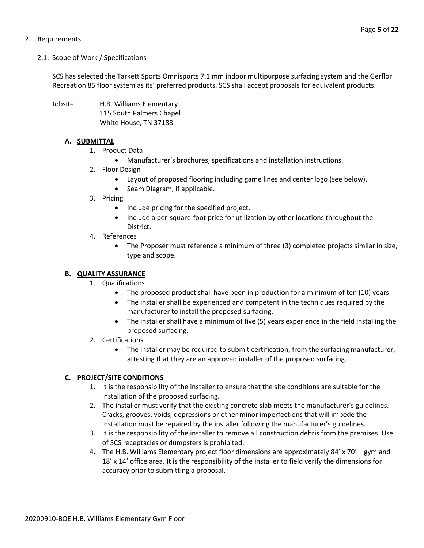#### 2. Requirements

#### 2.1. Scope of Work / Specifications

SCS has selected the Tarkett Sports Omnisports 7.1 mm indoor multipurpose surfacing system and the Gerflor Recreation 85 floor system as its' preferred products. SCS shall accept proposals for equivalent products.

Jobsite: H.B. Williams Elementary 115 South Palmers Chapel White House, TN 37188

#### **A. SUBMITTAL**

- 1. Product Data
	- Manufacturer's brochures, specifications and installation instructions.
- 2. Floor Design
	- Layout of proposed flooring including game lines and center logo (see below).
	- Seam Diagram, if applicable.
- 3. Pricing
	- Include pricing for the specified project.
	- Include a per-square-foot price for utilization by other locations throughout the District.
- 4. References
	- The Proposer must reference a minimum of three (3) completed projects similar in size, type and scope.

#### **B. QUALITY ASSURANCE**

- 1. Qualifications
	- The proposed product shall have been in production for a minimum of ten (10) years.
	- The installer shall be experienced and competent in the techniques required by the manufacturer to install the proposed surfacing.
	- The installer shall have a minimum of five (5) years experience in the field installing the proposed surfacing.
- 2. Certifications
	- The installer may be required to submit certification, from the surfacing manufacturer, attesting that they are an approved installer of the proposed surfacing.

#### **C. PROJECT/SITE CONDITIONS**

- 1. It is the responsibility of the installer to ensure that the site conditions are suitable for the installation of the proposed surfacing.
- 2. The installer must verify that the existing concrete slab meets the manufacturer's guidelines. Cracks, grooves, voids, depressions or other minor imperfections that will impede the installation must be repaired by the installer following the manufacturer's guidelines.
- 3. It is the responsibility of the installer to remove all construction debris from the premises. Use of SCS receptacles or dumpsters is prohibited.
- 4. The H.B. Williams Elementary project floor dimensions are approximately 84' x 70' gym and 18' x 14' office area. It is the responsibility of the installer to field verify the dimensions for accuracy prior to submitting a proposal.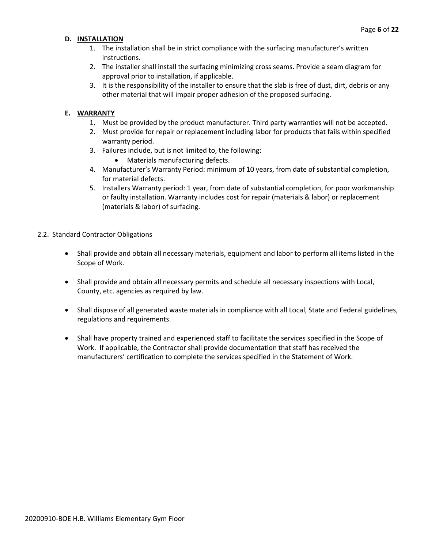#### **D. INSTALLATION**

- 1. The installation shall be in strict compliance with the surfacing manufacturer's written instructions.
- 2. The installer shall install the surfacing minimizing cross seams. Provide a seam diagram for approval prior to installation, if applicable.
- 3. It is the responsibility of the installer to ensure that the slab is free of dust, dirt, debris or any other material that will impair proper adhesion of the proposed surfacing.

#### **E. WARRANTY**

- 1. Must be provided by the product manufacturer. Third party warranties will not be accepted.
- 2. Must provide for repair or replacement including labor for products that fails within specified warranty period.
- 3. Failures include, but is not limited to, the following:
	- Materials manufacturing defects.
- 4. Manufacturer's Warranty Period: minimum of 10 years, from date of substantial completion, for material defects.
- 5. Installers Warranty period: 1 year, from date of substantial completion, for poor workmanship or faulty installation. Warranty includes cost for repair (materials & labor) or replacement (materials & labor) of surfacing.

#### 2.2. Standard Contractor Obligations

- Shall provide and obtain all necessary materials, equipment and labor to perform all items listed in the Scope of Work.
- Shall provide and obtain all necessary permits and schedule all necessary inspections with Local, County, etc. agencies as required by law.
- Shall dispose of all generated waste materials in compliance with all Local, State and Federal guidelines, regulations and requirements.
- Shall have property trained and experienced staff to facilitate the services specified in the Scope of Work. If applicable, the Contractor shall provide documentation that staff has received the manufacturers' certification to complete the services specified in the Statement of Work.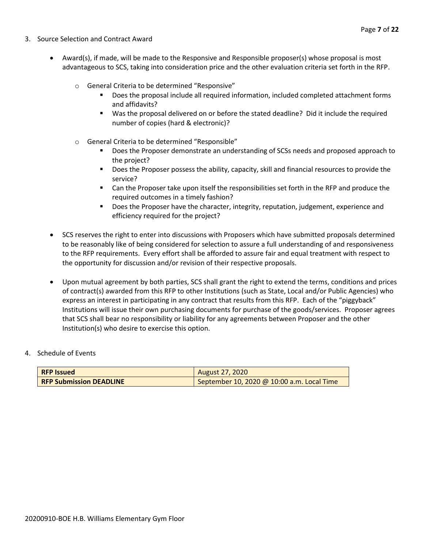- 3. Source Selection and Contract Award
	- Award(s), if made, will be made to the Responsive and Responsible proposer(s) whose proposal is most advantageous to SCS, taking into consideration price and the other evaluation criteria set forth in the RFP.
		- o General Criteria to be determined "Responsive"
			- Does the proposal include all required information, included completed attachment forms and affidavits?
			- Was the proposal delivered on or before the stated deadline? Did it include the required number of copies (hard & electronic)?
		- o General Criteria to be determined "Responsible"
			- Does the Proposer demonstrate an understanding of SCSs needs and proposed approach to the project?
			- Does the Proposer possess the ability, capacity, skill and financial resources to provide the service?
			- Can the Proposer take upon itself the responsibilities set forth in the RFP and produce the required outcomes in a timely fashion?
			- **■** Does the Proposer have the character, integrity, reputation, judgement, experience and efficiency required for the project?
	- SCS reserves the right to enter into discussions with Proposers which have submitted proposals determined to be reasonably like of being considered for selection to assure a full understanding of and responsiveness to the RFP requirements. Every effort shall be afforded to assure fair and equal treatment with respect to the opportunity for discussion and/or revision of their respective proposals.
	- Upon mutual agreement by both parties, SCS shall grant the right to extend the terms, conditions and prices of contract(s) awarded from this RFP to other Institutions (such as State, Local and/or Public Agencies) who express an interest in participating in any contract that results from this RFP. Each of the "piggyback" Institutions will issue their own purchasing documents for purchase of the goods/services. Proposer agrees that SCS shall bear no responsibility or liability for any agreements between Proposer and the other Institution(s) who desire to exercise this option.

#### 4. Schedule of Events

| <b>RFP Issued</b>              | August 27, 2020                            |
|--------------------------------|--------------------------------------------|
| <b>RFP Submission DEADLINE</b> | September 10, 2020 @ 10:00 a.m. Local Time |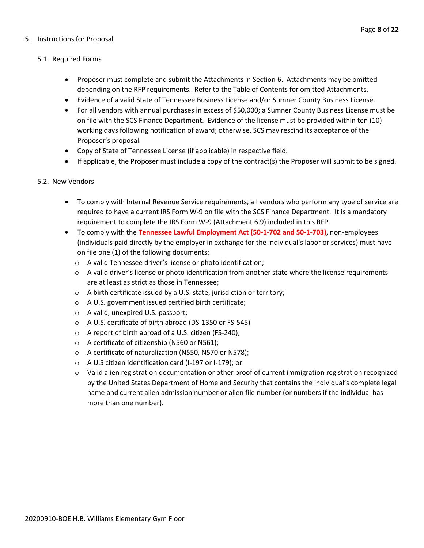#### 5. Instructions for Proposal

Page **8** of **22**

#### 5.1. Required Forms

- Proposer must complete and submit the Attachments in Section 6. Attachments may be omitted depending on the RFP requirements. Refer to the Table of Contents for omitted Attachments.
- Evidence of a valid State of Tennessee Business License and/or Sumner County Business License.
- For all vendors with annual purchases in excess of \$50,000; a Sumner County Business License must be on file with the SCS Finance Department. Evidence of the license must be provided within ten (10) working days following notification of award; otherwise, SCS may rescind its acceptance of the Proposer's proposal.
- Copy of State of Tennessee License (if applicable) in respective field.
- If applicable, the Proposer must include a copy of the contract(s) the Proposer will submit to be signed.

#### 5.2. New Vendors

- To comply with Internal Revenue Service requirements, all vendors who perform any type of service are required to have a current IRS Form W-9 on file with the SCS Finance Department. It is a mandatory requirement to complete the IRS Form W-9 (Attachment 6.9) included in this RFP.
- To comply with the **Tennessee Lawful Employment Act (50-1-702 and 50-1-703)**, non-employees (individuals paid directly by the employer in exchange for the individual's labor or services) must have on file one (1) of the following documents:
	- o A valid Tennessee driver's license or photo identification;
	- $\circ$  A valid driver's license or photo identification from another state where the license requirements are at least as strict as those in Tennessee;
	- o A birth certificate issued by a U.S. state, jurisdiction or territory;
	- o A U.S. government issued certified birth certificate;
	- o A valid, unexpired U.S. passport;
	- o A U.S. certificate of birth abroad (DS-1350 or FS-545)
	- o A report of birth abroad of a U.S. citizen (FS-240);
	- o A certificate of citizenship (N560 or N561);
	- o A certificate of naturalization (N550, N570 or N578);
	- o A U.S citizen identification card (I-197 or I-179); or
	- o Valid alien registration documentation or other proof of current immigration registration recognized by the United States Department of Homeland Security that contains the individual's complete legal name and current alien admission number or alien file number (or numbers if the individual has more than one number).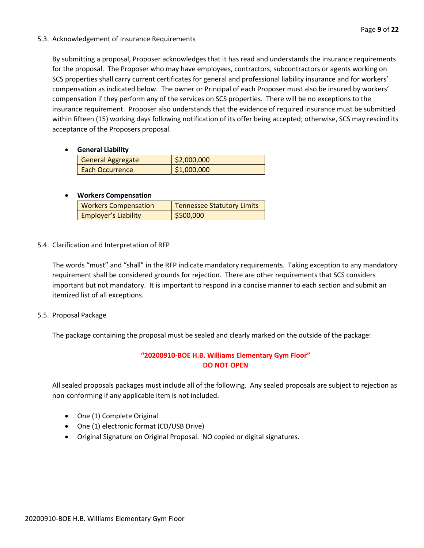#### 5.3. Acknowledgement of Insurance Requirements

By submitting a proposal, Proposer acknowledges that it has read and understands the insurance requirements for the proposal. The Proposer who may have employees, contractors, subcontractors or agents working on SCS properties shall carry current certificates for general and professional liability insurance and for workers' compensation as indicated below. The owner or Principal of each Proposer must also be insured by workers' compensation if they perform any of the services on SCS properties. There will be no exceptions to the insurance requirement. Proposer also understands that the evidence of required insurance must be submitted within fifteen (15) working days following notification of its offer being accepted; otherwise, SCS may rescind its acceptance of the Proposers proposal.

• **General Liability**

| <b>General Aggregate</b> | \$2,000,000 |
|--------------------------|-------------|
| Each Occurrence          | \$1,000,000 |

#### • **Workers Compensation**

| <b>Workers Compensation</b> | Tennessee Statutory Limits |
|-----------------------------|----------------------------|
| <b>Employer's Liability</b> | 5500,000                   |

5.4. Clarification and Interpretation of RFP

The words "must" and "shall" in the RFP indicate mandatory requirements. Taking exception to any mandatory requirement shall be considered grounds for rejection. There are other requirements that SCS considers important but not mandatory. It is important to respond in a concise manner to each section and submit an itemized list of all exceptions.

5.5. Proposal Package

The package containing the proposal must be sealed and clearly marked on the outside of the package:

#### **"20200910-BOE H.B. Williams Elementary Gym Floor" DO NOT OPEN**

All sealed proposals packages must include all of the following. Any sealed proposals are subject to rejection as non-conforming if any applicable item is not included.

- One (1) Complete Original
- One (1) electronic format (CD/USB Drive)
- Original Signature on Original Proposal. NO copied or digital signatures.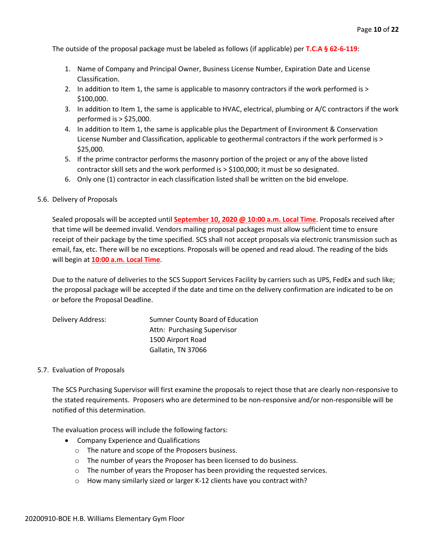The outside of the proposal package must be labeled as follows (if applicable) per **T.C.A § 62-6-119**:

- 1. Name of Company and Principal Owner, Business License Number, Expiration Date and License Classification.
- 2. In addition to Item 1, the same is applicable to masonry contractors if the work performed is > \$100,000.
- 3. In addition to Item 1, the same is applicable to HVAC, electrical, plumbing or A/C contractors if the work performed is > \$25,000.
- 4. In addition to Item 1, the same is applicable plus the Department of Environment & Conservation License Number and Classification, applicable to geothermal contractors if the work performed is > \$25,000.
- 5. If the prime contractor performs the masonry portion of the project or any of the above listed contractor skill sets and the work performed is > \$100,000; it must be so designated.
- 6. Only one (1) contractor in each classification listed shall be written on the bid envelope.

#### 5.6. Delivery of Proposals

Sealed proposals will be accepted until **September 10, 2020 @ 10:00 a.m. Local Time**. Proposals received after that time will be deemed invalid. Vendors mailing proposal packages must allow sufficient time to ensure receipt of their package by the time specified. SCS shall not accept proposals via electronic transmission such as email, fax, etc. There will be no exceptions. Proposals will be opened and read aloud. The reading of the bids will begin at **10:00 a.m. Local Time**.

Due to the nature of deliveries to the SCS Support Services Facility by carriers such as UPS, FedEx and such like; the proposal package will be accepted if the date and time on the delivery confirmation are indicated to be on or before the Proposal Deadline.

| Delivery Address: | Sumner County Board of Education |
|-------------------|----------------------------------|
|                   | Attn: Purchasing Supervisor      |
|                   | 1500 Airport Road                |
|                   | Gallatin, TN 37066               |

#### 5.7. Evaluation of Proposals

The SCS Purchasing Supervisor will first examine the proposals to reject those that are clearly non-responsive to the stated requirements. Proposers who are determined to be non-responsive and/or non-responsible will be notified of this determination.

The evaluation process will include the following factors:

- Company Experience and Qualifications
	- o The nature and scope of the Proposers business.
	- o The number of years the Proposer has been licensed to do business.
	- $\circ$  The number of years the Proposer has been providing the requested services.
	- o How many similarly sized or larger K-12 clients have you contract with?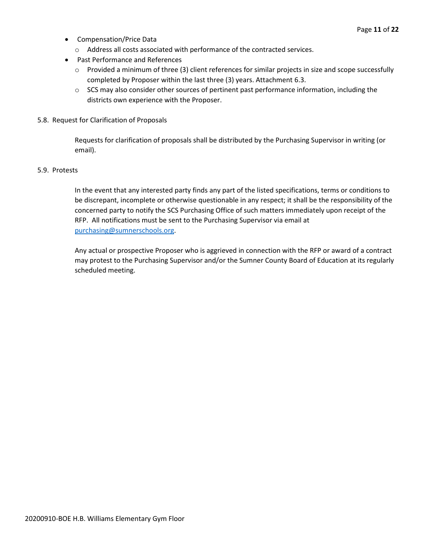- Compensation/Price Data
	- o Address all costs associated with performance of the contracted services.
- Past Performance and References
	- o Provided a minimum of three (3) client references for similar projects in size and scope successfully completed by Proposer within the last three (3) years. Attachment 6.3.
	- $\circ$  SCS may also consider other sources of pertinent past performance information, including the districts own experience with the Proposer.
- 5.8. Request for Clarification of Proposals

Requests for clarification of proposals shall be distributed by the Purchasing Supervisor in writing (or email).

#### 5.9. Protests

In the event that any interested party finds any part of the listed specifications, terms or conditions to be discrepant, incomplete or otherwise questionable in any respect; it shall be the responsibility of the concerned party to notify the SCS Purchasing Office of such matters immediately upon receipt of the RFP. All notifications must be sent to the Purchasing Supervisor via email at [purchasing@sumnerschools.org.](mailto:purchasing@sumnerschools.org)

Any actual or prospective Proposer who is aggrieved in connection with the RFP or award of a contract may protest to the Purchasing Supervisor and/or the Sumner County Board of Education at its regularly scheduled meeting.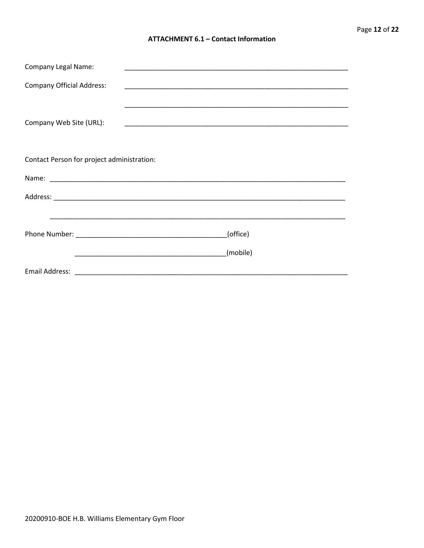#### **ATTACHMENT 6.1 - Contact Information**

| <b>Company Legal Name:</b>                 | <u> 1989 - Johann John Stone, markin film yn y system yn y system yn y system yn y system yn y system yn y system</u> |  |
|--------------------------------------------|-----------------------------------------------------------------------------------------------------------------------|--|
| <b>Company Official Address:</b>           | <u> 1989 - Johann John Stoff, deutscher Stoffen und der Stoffen und der Stoffen und der Stoffen und der Stoffen u</u> |  |
| Company Web Site (URL):                    |                                                                                                                       |  |
| Contact Person for project administration: |                                                                                                                       |  |
|                                            |                                                                                                                       |  |
|                                            |                                                                                                                       |  |
|                                            | <u> 1999 - Johann John Harry Harry Harry Harry Harry Harry Harry Harry Harry Harry Harry Harry Harry Harry Harry</u>  |  |
|                                            | (office)                                                                                                              |  |
|                                            | (mobile)                                                                                                              |  |
|                                            |                                                                                                                       |  |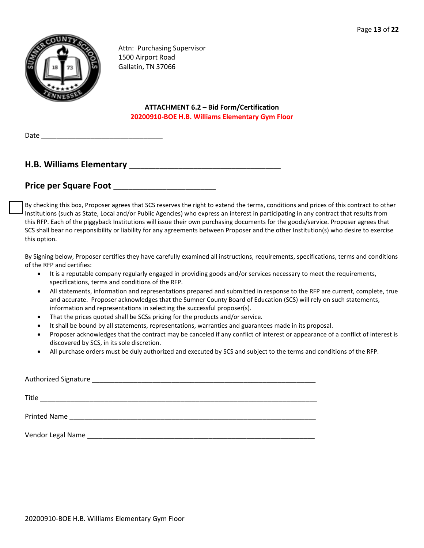

Attn: Purchasing Supervisor 1500 Airport Road Gallatin, TN 37066

> **ATTACHMENT 6.2 – Bid Form/Certification 20200910-BOE H.B. Williams Elementary Gym Floor**

Date

#### **H.B. Williams Elementary** \_\_\_\_\_\_\_\_\_\_\_\_\_\_\_\_\_\_\_\_\_\_\_\_\_\_\_\_\_\_\_\_\_\_\_\_\_\_\_\_

#### Price per Square Foot **Exercise 2018**

By checking this box, Proposer agrees that SCS reserves the right to extend the terms, conditions and prices of this contract to other Institutions (such as State, Local and/or Public Agencies) who express an interest in participating in any contract that results from this RFP. Each of the piggyback Institutions will issue their own purchasing documents for the goods/service. Proposer agrees that SCS shall bear no responsibility or liability for any agreements between Proposer and the other Institution(s) who desire to exercise this option.

By Signing below, Proposer certifies they have carefully examined all instructions, requirements, specifications, terms and conditions of the RFP and certifies:

- It is a reputable company regularly engaged in providing goods and/or services necessary to meet the requirements, specifications, terms and conditions of the RFP.
- All statements, information and representations prepared and submitted in response to the RFP are current, complete, true and accurate. Proposer acknowledges that the Sumner County Board of Education (SCS) will rely on such statements, information and representations in selecting the successful proposer(s).
- That the prices quoted shall be SCSs pricing for the products and/or service.
- It shall be bound by all statements, representations, warranties and guarantees made in its proposal.
- Proposer acknowledges that the contract may be canceled if any conflict of interest or appearance of a conflict of interest is discovered by SCS, in its sole discretion.
- All purchase orders must be duly authorized and executed by SCS and subject to the terms and conditions of the RFP.

| Authorized Signature<br><u> 1980 - Jan James James Jan James James James James James James James James James James James James James Jam</u> |
|----------------------------------------------------------------------------------------------------------------------------------------------|
| Title                                                                                                                                        |
| <b>Printed Name</b><br>the control of the control of the control of the control of the control of the control of                             |
| Vendor Legal Name                                                                                                                            |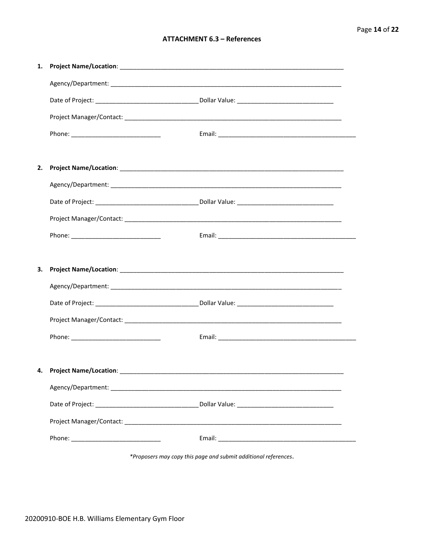#### **ATTACHMENT 6.3 - References**

| 1. |  |
|----|--|
|    |  |
|    |  |
|    |  |
|    |  |
|    |  |
| 2. |  |
|    |  |
|    |  |
|    |  |
|    |  |
|    |  |
| 3. |  |
|    |  |
|    |  |
|    |  |
|    |  |
|    |  |
| 4. |  |
|    |  |
|    |  |
|    |  |
|    |  |
|    |  |

\*Proposers may copy this page and submit additional references.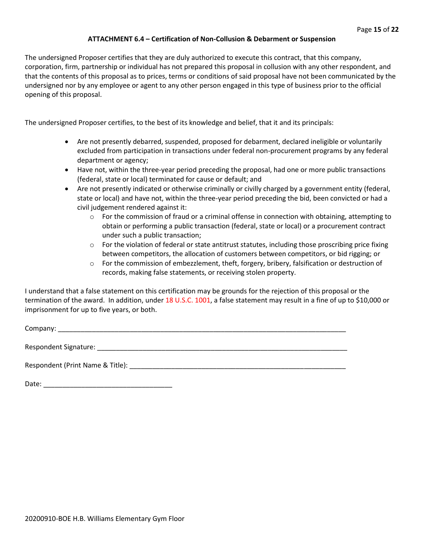#### **ATTACHMENT 6.4 – Certification of Non-Collusion & Debarment or Suspension**

The undersigned Proposer certifies that they are duly authorized to execute this contract, that this company, corporation, firm, partnership or individual has not prepared this proposal in collusion with any other respondent, and that the contents of this proposal as to prices, terms or conditions of said proposal have not been communicated by the undersigned nor by any employee or agent to any other person engaged in this type of business prior to the official opening of this proposal.

The undersigned Proposer certifies, to the best of its knowledge and belief, that it and its principals:

- Are not presently debarred, suspended, proposed for debarment, declared ineligible or voluntarily excluded from participation in transactions under federal non-procurement programs by any federal department or agency;
- Have not, within the three-year period preceding the proposal, had one or more public transactions (federal, state or local) terminated for cause or default; and
- Are not presently indicated or otherwise criminally or civilly charged by a government entity (federal, state or local) and have not, within the three-year period preceding the bid, been convicted or had a civil judgement rendered against it:
	- $\circ$  For the commission of fraud or a criminal offense in connection with obtaining, attempting to obtain or performing a public transaction (federal, state or local) or a procurement contract under such a public transaction;
	- $\circ$  For the violation of federal or state antitrust statutes, including those proscribing price fixing between competitors, the allocation of customers between competitors, or bid rigging; or
	- $\circ$  For the commission of embezzlement, theft, forgery, bribery, falsification or destruction of records, making false statements, or receiving stolen property.

I understand that a false statement on this certification may be grounds for the rejection of this proposal or the termination of the award. In addition, under 18 U.S.C. 1001, a false statement may result in a fine of up to \$10,000 or imprisonment for up to five years, or both.

Company: Respondent Signature: \_\_\_\_\_\_\_\_\_\_\_\_\_\_\_\_\_\_\_\_\_\_\_\_\_\_\_\_\_\_\_\_\_\_\_\_\_\_\_\_\_\_\_\_\_\_\_\_\_\_\_\_\_\_\_\_\_\_\_\_\_\_\_\_\_\_

Respondent (Print Name & Title): \_\_\_\_\_\_\_\_\_\_\_\_\_\_\_\_\_\_\_\_\_\_\_\_\_\_\_\_\_\_\_\_\_\_\_\_\_\_\_\_\_\_\_\_\_\_\_\_\_\_\_\_\_\_\_\_\_

Date: \_\_\_\_\_\_\_\_\_\_\_\_\_\_\_\_\_\_\_\_\_\_\_\_\_\_\_\_\_\_\_\_\_\_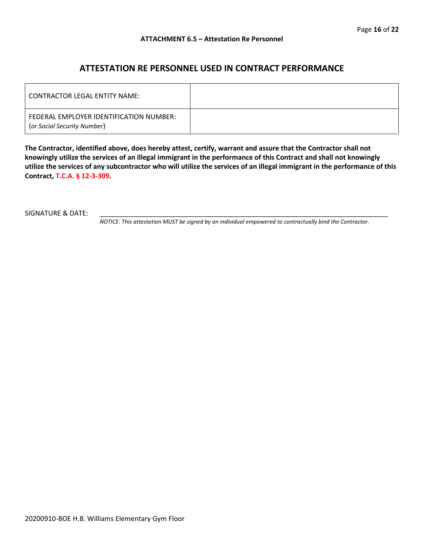#### **ATTESTATION RE PERSONNEL USED IN CONTRACT PERFORMANCE**

| LCONTRACTOR LEGAL ENTITY NAME:                                         |  |
|------------------------------------------------------------------------|--|
| FEDERAL EMPLOYER IDENTIFICATION NUMBER:<br>(or Social Security Number) |  |

**The Contractor, identified above, does hereby attest, certify, warrant and assure that the Contractor shall not knowingly utilize the services of an illegal immigrant in the performance of this Contract and shall not knowingly utilize the services of any subcontractor who will utilize the services of an illegal immigrant in the performance of this Contract, T.C.A. § 12-3-309.**

SIGNATURE & DATE:

*NOTICE: This attestation MUST be signed by an individual empowered to contractually bind the Contractor.*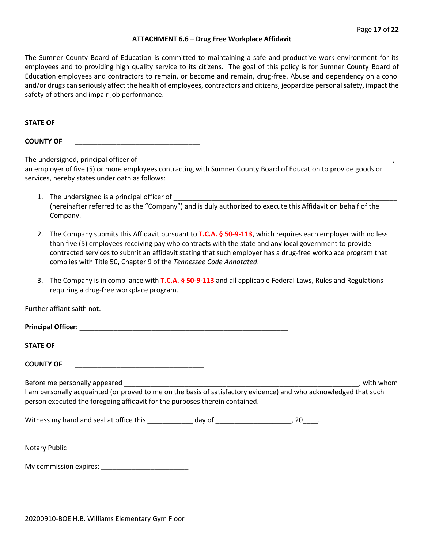#### **ATTACHMENT 6.6 – Drug Free Workplace Affidavit**

The Sumner County Board of Education is committed to maintaining a safe and productive work environment for its employees and to providing high quality service to its citizens. The goal of this policy is for Sumner County Board of Education employees and contractors to remain, or become and remain, drug-free. Abuse and dependency on alcohol and/or drugs can seriously affect the health of employees, contractors and citizens, jeopardize personal safety, impact the safety of others and impair job performance.

**STATE OF** 

**COUNTY OF** \_\_\_\_\_\_\_\_\_\_\_\_\_\_\_\_\_\_\_\_\_\_\_\_\_\_\_\_\_\_\_\_\_

The undersigned, principal officer of \_

an employer of five (5) or more employees contracting with Sumner County Board of Education to provide goods or services, hereby states under oath as follows:

- 1. The undersigned is a principal officer of \_\_\_\_\_\_\_\_\_\_\_\_\_\_\_\_\_\_\_\_\_\_\_\_\_\_\_\_\_\_\_\_\_\_\_\_\_\_\_\_\_\_\_\_\_\_\_\_\_\_\_\_\_\_\_\_\_\_\_ (hereinafter referred to as the "Company") and is duly authorized to execute this Affidavit on behalf of the Company.
- 2. The Company submits this Affidavit pursuant to **T.C.A. § 50-9-113**, which requires each employer with no less than five (5) employees receiving pay who contracts with the state and any local government to provide contracted services to submit an affidavit stating that such employer has a drug-free workplace program that complies with Title 50, Chapter 9 of the *Tennessee Code Annotated*.
- 3. The Company is in compliance with **T.C.A. § 50-9-113** and all applicable Federal Laws, Rules and Regulations requiring a drug-free workplace program.

Further affiant saith not.

| Principal Officer: |  |  |  |
|--------------------|--|--|--|
|                    |  |  |  |

**STATE OF** \_\_\_\_\_\_\_\_\_\_\_\_\_\_\_\_\_\_\_\_\_\_\_\_\_\_\_\_\_\_\_\_\_\_

**COUNTY OF** \_\_\_\_\_\_\_\_\_\_\_\_\_\_\_\_\_\_\_\_\_\_\_\_\_\_\_\_\_\_\_\_\_\_

Before me personally appeared **Exercise 2**, with whom

I am personally acquainted (or proved to me on the basis of satisfactory evidence) and who acknowledged that such person executed the foregoing affidavit for the purposes therein contained.

Witness my hand and seal at office this \_\_\_\_\_\_\_\_\_\_\_\_\_ day of \_\_\_\_\_\_\_\_\_\_\_\_\_\_\_\_\_\_\_\_, 20\_\_\_\_.

Notary Public

My commission expires: \_\_\_\_\_\_\_\_\_\_\_\_\_\_\_\_\_\_\_\_\_\_\_

\_\_\_\_\_\_\_\_\_\_\_\_\_\_\_\_\_\_\_\_\_\_\_\_\_\_\_\_\_\_\_\_\_\_\_\_\_\_\_\_\_\_\_\_\_\_\_\_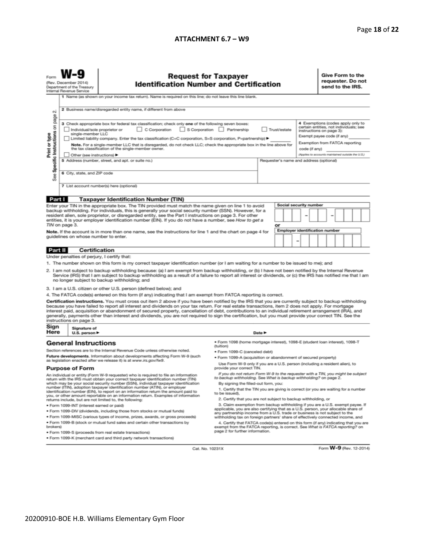#### **ATTACHMENT 6.7 – W9**

| W-9           | Req                   |
|---------------|-----------------------|
| ecember 2014) | <b>Identification</b> |

Form

## equest for Taxpayer<br>on Number and Certification

Give Form to the requester. Do not send to the IRS.

| Form<br>Request for Taxpayer<br>(Rev. December 2014)<br><b>Identification Number and Certification</b><br>Department of the Treasury<br>Internal Revenue Service                                                                                                                                                                                                                                                                                                                                                                                                                   |                                                                                                                                                                                                                                                                                                                                 |                                                                                                                                                                                                                                                                                                                                                                                                                                                                                                                                                                                                                               |  |                        |                                                                                              | .<br>requester. Do not<br>send to the IRS. |  |  |                                                                                                                                                                         |  |  |  |  |
|------------------------------------------------------------------------------------------------------------------------------------------------------------------------------------------------------------------------------------------------------------------------------------------------------------------------------------------------------------------------------------------------------------------------------------------------------------------------------------------------------------------------------------------------------------------------------------|---------------------------------------------------------------------------------------------------------------------------------------------------------------------------------------------------------------------------------------------------------------------------------------------------------------------------------|-------------------------------------------------------------------------------------------------------------------------------------------------------------------------------------------------------------------------------------------------------------------------------------------------------------------------------------------------------------------------------------------------------------------------------------------------------------------------------------------------------------------------------------------------------------------------------------------------------------------------------|--|------------------------|----------------------------------------------------------------------------------------------|--------------------------------------------|--|--|-------------------------------------------------------------------------------------------------------------------------------------------------------------------------|--|--|--|--|
|                                                                                                                                                                                                                                                                                                                                                                                                                                                                                                                                                                                    |                                                                                                                                                                                                                                                                                                                                 | 1 Name (as shown on your income tax return). Name is required on this line; do not leave this line blank.                                                                                                                                                                                                                                                                                                                                                                                                                                                                                                                     |  |                        |                                                                                              |                                            |  |  |                                                                                                                                                                         |  |  |  |  |
| σû                                                                                                                                                                                                                                                                                                                                                                                                                                                                                                                                                                                 | 2 Business name/disregarded entity name, if different from above                                                                                                                                                                                                                                                                |                                                                                                                                                                                                                                                                                                                                                                                                                                                                                                                                                                                                                               |  |                        |                                                                                              |                                            |  |  |                                                                                                                                                                         |  |  |  |  |
| Specific Instructions on<br>Print or type                                                                                                                                                                                                                                                                                                                                                                                                                                                                                                                                          | page<br>3 Check appropriate box for federal tax classification; check only one of the following seven boxes:<br>C Corporation<br>S Corporation Partnership<br>Individual/sole proprietor or<br>single-member LLC<br>Limited liability company. Enter the tax classification (C=C corporation, S=S corporation, P=partnership) ▶ |                                                                                                                                                                                                                                                                                                                                                                                                                                                                                                                                                                                                                               |  | Trust/estate           |                                                                                              |                                            |  |  | 4 Exemptions (codes apply only to<br>certain entities, not individuals; see<br>instructions on page 3):<br>Exempt payee code (if any)<br>Exemption from FATCA reporting |  |  |  |  |
|                                                                                                                                                                                                                                                                                                                                                                                                                                                                                                                                                                                    | Note. For a single-member LLC that is disregarded, do not check LLC; check the appropriate box in the line above for<br>the tax classification of the single-member owner.                                                                                                                                                      |                                                                                                                                                                                                                                                                                                                                                                                                                                                                                                                                                                                                                               |  |                        | code (if anv)                                                                                |                                            |  |  |                                                                                                                                                                         |  |  |  |  |
| See                                                                                                                                                                                                                                                                                                                                                                                                                                                                                                                                                                                | Other (see instructions)<br>5 Address (number, street, and apt. or suite no.)<br>6 City, state, and ZIP code                                                                                                                                                                                                                    |                                                                                                                                                                                                                                                                                                                                                                                                                                                                                                                                                                                                                               |  |                        | (Applies to accounts maintained outside the U.S.)<br>Requester's name and address (optional) |                                            |  |  |                                                                                                                                                                         |  |  |  |  |
| 7 List account number(s) here (optional)                                                                                                                                                                                                                                                                                                                                                                                                                                                                                                                                           |                                                                                                                                                                                                                                                                                                                                 |                                                                                                                                                                                                                                                                                                                                                                                                                                                                                                                                                                                                                               |  |                        |                                                                                              |                                            |  |  |                                                                                                                                                                         |  |  |  |  |
| Part I                                                                                                                                                                                                                                                                                                                                                                                                                                                                                                                                                                             |                                                                                                                                                                                                                                                                                                                                 | <b>Taxpayer Identification Number (TIN)</b>                                                                                                                                                                                                                                                                                                                                                                                                                                                                                                                                                                                   |  |                        |                                                                                              |                                            |  |  |                                                                                                                                                                         |  |  |  |  |
| Enter your TIN in the appropriate box. The TIN provided must match the name given on line 1 to avoid<br>backup withholding. For individuals, this is generally your social security number (SSN). However, for a                                                                                                                                                                                                                                                                                                                                                                   |                                                                                                                                                                                                                                                                                                                                 |                                                                                                                                                                                                                                                                                                                                                                                                                                                                                                                                                                                                                               |  | Social security number |                                                                                              |                                            |  |  |                                                                                                                                                                         |  |  |  |  |
| resident alien, sole proprietor, or disregarded entity, see the Part I instructions on page 3. For other<br>entities, it is your employer identification number (EIN). If you do not have a number, see How to get a                                                                                                                                                                                                                                                                                                                                                               |                                                                                                                                                                                                                                                                                                                                 |                                                                                                                                                                                                                                                                                                                                                                                                                                                                                                                                                                                                                               |  |                        |                                                                                              |                                            |  |  |                                                                                                                                                                         |  |  |  |  |
|                                                                                                                                                                                                                                                                                                                                                                                                                                                                                                                                                                                    | TIN on page 3.                                                                                                                                                                                                                                                                                                                  |                                                                                                                                                                                                                                                                                                                                                                                                                                                                                                                                                                                                                               |  | or                     | <b>Employer identification number</b>                                                        |                                            |  |  |                                                                                                                                                                         |  |  |  |  |
| Note. If the account is in more than one name, see the instructions for line 1 and the chart on page 4 for<br>quidelines on whose number to enter.                                                                                                                                                                                                                                                                                                                                                                                                                                 |                                                                                                                                                                                                                                                                                                                                 |                                                                                                                                                                                                                                                                                                                                                                                                                                                                                                                                                                                                                               |  |                        |                                                                                              |                                            |  |  |                                                                                                                                                                         |  |  |  |  |
| Part II                                                                                                                                                                                                                                                                                                                                                                                                                                                                                                                                                                            | Certification                                                                                                                                                                                                                                                                                                                   |                                                                                                                                                                                                                                                                                                                                                                                                                                                                                                                                                                                                                               |  |                        |                                                                                              |                                            |  |  |                                                                                                                                                                         |  |  |  |  |
|                                                                                                                                                                                                                                                                                                                                                                                                                                                                                                                                                                                    | Under penalties of perjury, I certify that:                                                                                                                                                                                                                                                                                     |                                                                                                                                                                                                                                                                                                                                                                                                                                                                                                                                                                                                                               |  |                        |                                                                                              |                                            |  |  |                                                                                                                                                                         |  |  |  |  |
|                                                                                                                                                                                                                                                                                                                                                                                                                                                                                                                                                                                    |                                                                                                                                                                                                                                                                                                                                 | 1. The number shown on this form is my correct taxpayer identification number (or I am waiting for a number to be issued to me); and                                                                                                                                                                                                                                                                                                                                                                                                                                                                                          |  |                        |                                                                                              |                                            |  |  |                                                                                                                                                                         |  |  |  |  |
|                                                                                                                                                                                                                                                                                                                                                                                                                                                                                                                                                                                    |                                                                                                                                                                                                                                                                                                                                 | 2. I am not subject to backup withholding because: (a) I am exempt from backup withholding, or (b) I have not been notified by the Internal Revenue<br>Service (IRS) that I am subject to backup withholding as a result of a failure to report all interest or dividends, or (c) the IRS has notified me that I am<br>no longer subject to backup withholding; and                                                                                                                                                                                                                                                           |  |                        |                                                                                              |                                            |  |  |                                                                                                                                                                         |  |  |  |  |
|                                                                                                                                                                                                                                                                                                                                                                                                                                                                                                                                                                                    |                                                                                                                                                                                                                                                                                                                                 | 3. I am a U.S. citizen or other U.S. person (defined below); and                                                                                                                                                                                                                                                                                                                                                                                                                                                                                                                                                              |  |                        |                                                                                              |                                            |  |  |                                                                                                                                                                         |  |  |  |  |
|                                                                                                                                                                                                                                                                                                                                                                                                                                                                                                                                                                                    |                                                                                                                                                                                                                                                                                                                                 | 4. The FATCA code(s) entered on this form (if any) indicating that I am exempt from FATCA reporting is correct.                                                                                                                                                                                                                                                                                                                                                                                                                                                                                                               |  |                        |                                                                                              |                                            |  |  |                                                                                                                                                                         |  |  |  |  |
|                                                                                                                                                                                                                                                                                                                                                                                                                                                                                                                                                                                    | instructions on page 3.                                                                                                                                                                                                                                                                                                         | Certification instructions. You must cross out item 2 above if you have been notified by the IRS that you are currently subject to backup withholding<br>because you have failed to report all interest and dividends on your tax return. For real estate transactions, item 2 does not apply. For mortgage<br>interest paid, acquisition or abandonment of secured property, cancellation of debt, contributions to an individual retirement arrangement (IRA), and<br>generally, payments other than interest and dividends, you are not required to sign the certification, but you must provide your correct TIN. See the |  |                        |                                                                                              |                                            |  |  |                                                                                                                                                                         |  |  |  |  |
| Sign<br>Here                                                                                                                                                                                                                                                                                                                                                                                                                                                                                                                                                                       | Signature of<br>U.S. person $\blacktriangleright$                                                                                                                                                                                                                                                                               |                                                                                                                                                                                                                                                                                                                                                                                                                                                                                                                                                                                                                               |  | Date P                 |                                                                                              |                                            |  |  |                                                                                                                                                                         |  |  |  |  |
| <b>General Instructions</b>                                                                                                                                                                                                                                                                                                                                                                                                                                                                                                                                                        |                                                                                                                                                                                                                                                                                                                                 | · Form 1098 (home mortgage interest), 1098-E (student loan interest), 1098-T<br>(tuition)                                                                                                                                                                                                                                                                                                                                                                                                                                                                                                                                     |  |                        |                                                                                              |                                            |  |  |                                                                                                                                                                         |  |  |  |  |
| Section references are to the Internal Revenue Code unless otherwise noted.                                                                                                                                                                                                                                                                                                                                                                                                                                                                                                        |                                                                                                                                                                                                                                                                                                                                 | · Form 1099-C (canceled debt)                                                                                                                                                                                                                                                                                                                                                                                                                                                                                                                                                                                                 |  |                        |                                                                                              |                                            |  |  |                                                                                                                                                                         |  |  |  |  |
| Future developments. Information about developments affecting Form W-9 (such<br>as legislation enacted after we release it) is at www.irs.gov/fw9.                                                                                                                                                                                                                                                                                                                                                                                                                                 |                                                                                                                                                                                                                                                                                                                                 | · Form 1099-A (acquisition or abandonment of secured property)                                                                                                                                                                                                                                                                                                                                                                                                                                                                                                                                                                |  |                        |                                                                                              |                                            |  |  |                                                                                                                                                                         |  |  |  |  |
| <b>Purpose of Form</b>                                                                                                                                                                                                                                                                                                                                                                                                                                                                                                                                                             |                                                                                                                                                                                                                                                                                                                                 | Use Form W-9 only if you are a U.S. person (including a resident alien), to<br>provide your correct TIN.<br>If you do not return Form W-9 to the requester with a TIN, you might be subject                                                                                                                                                                                                                                                                                                                                                                                                                                   |  |                        |                                                                                              |                                            |  |  |                                                                                                                                                                         |  |  |  |  |
| An individual or entity (Form W-9 requester) who is required to file an information<br>return with the IRS must obtain your correct taxpayer identification number (TIN)<br>which may be your social security number (SSN), individual taxpayer identification<br>number (ITIN), adoption taxpayer identification number (ATIN), or employer<br>identification number (EIN), to report on an information return the amount paid to<br>you, or other amount reportable on an information return. Examples of information<br>returns include, but are not limited to, the following: |                                                                                                                                                                                                                                                                                                                                 | to backup withholding. See What is backup withholding? on page 2.<br>By signing the filled-out form, you:<br>1. Certify that the TIN you are giving is correct (or you are waiting for a number<br>to be issued).<br>2. Certify that you are not subject to backup withholding, or<br>3. Claim exemption from backup withholding if you are a U.S. exempt payee. If                                                                                                                                                                                                                                                           |  |                        |                                                                                              |                                            |  |  |                                                                                                                                                                         |  |  |  |  |
| · Form 1099-INT (interest earned or paid)<br>. Form 1099-DIV (dividends, including those from stocks or mutual funds)                                                                                                                                                                                                                                                                                                                                                                                                                                                              |                                                                                                                                                                                                                                                                                                                                 | applicable, you are also certifying that as a U.S. person, your allocable share of                                                                                                                                                                                                                                                                                                                                                                                                                                                                                                                                            |  |                        |                                                                                              |                                            |  |  |                                                                                                                                                                         |  |  |  |  |
| * Form 1099-MISC (various types of income, prizes, awards, or gross proceeds)                                                                                                                                                                                                                                                                                                                                                                                                                                                                                                      |                                                                                                                                                                                                                                                                                                                                 | any partnership income from a U.S. trade or business is not subject to the<br>withholding tax on foreign partners' share of effectively connected income, and                                                                                                                                                                                                                                                                                                                                                                                                                                                                 |  |                        |                                                                                              |                                            |  |  |                                                                                                                                                                         |  |  |  |  |
| . Form 1099-B (stock or mutual fund sales and certain other transactions by<br>brokers)<br>. Form 1099-S (proceeds from real estate transactions)                                                                                                                                                                                                                                                                                                                                                                                                                                  |                                                                                                                                                                                                                                                                                                                                 | 4. Certify that FATCA code(s) entered on this form (if any) indicating that you are<br>exempt from the FATCA reporting, is correct. See What is FATCA reporting? on<br>page 2 for further information.                                                                                                                                                                                                                                                                                                                                                                                                                        |  |                        |                                                                                              |                                            |  |  |                                                                                                                                                                         |  |  |  |  |

Cat. No. 10231X

- · Form 1099-S (proceeds from real estate transactions)
- . Form 1099-K (merchant card and third party network transactions)

Form W-9 (Rev. 12-2014)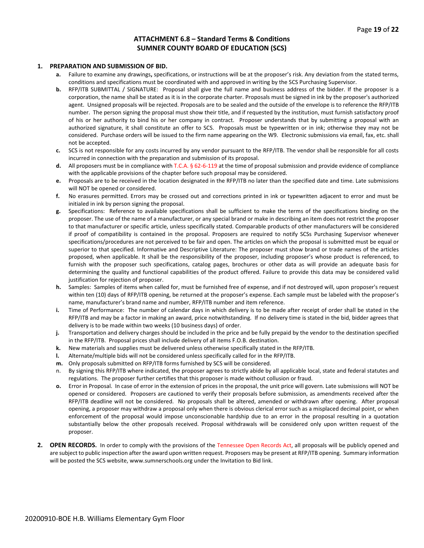#### **ATTACHMENT 6.8 – Standard Terms & Conditions SUMNER COUNTY BOARD OF EDUCATION (SCS)**

#### **1. PREPARATION AND SUBMISSION OF BID.**

- **a.** Failure to examine any drawings**,** specifications, or instructions will be at the proposer's risk. Any deviation from the stated terms, conditions and specifications must be coordinated with and approved in writing by the SCS Purchasing Supervisor.
- **b.** RFP/ITB SUBMITTAL / SIGNATURE: Proposal shall give the full name and business address of the bidder. If the proposer is a corporation, the name shall be stated as it is in the corporate charter. Proposals must be signed in ink by the proposer's authorized agent. Unsigned proposals will be rejected. Proposals are to be sealed and the outside of the envelope is to reference the RFP/ITB number. The person signing the proposal must show their title, and if requested by the institution, must furnish satisfactory proof of his or her authority to bind his or her company in contract. Proposer understands that by submitting a proposal with an authorized signature, it shall constitute an offer to SCS. Proposals must be typewritten or in ink; otherwise they may not be considered. Purchase orders will be issued to the firm name appearing on the W9. Electronic submissions via email, fax, etc. shall not be accepted.
- **c.** SCS is not responsible for any costs incurred by any vendor pursuant to the RFP/ITB. The vendor shall be responsible for all costs incurred in connection with the preparation and submission of its proposal.
- **d.** All proposers must be in compliance with T.C.A. § 62-6-119 at the time of proposal submission and provide evidence of compliance with the applicable provisions of the chapter before such proposal may be considered.
- **e.** Proposals are to be received in the location designated in the RFP/ITB no later than the specified date and time. Late submissions will NOT be opened or considered.
- **f.** No erasures permitted. Errors may be crossed out and corrections printed in ink or typewritten adjacent to error and must be initialed in ink by person signing the proposal.
- **g.** Specifications: Reference to available specifications shall be sufficient to make the terms of the specifications binding on the proposer. The use of the name of a manufacturer, or any special brand or make in describing an item does not restrict the proposer to that manufacturer or specific article, unless specifically stated. Comparable products of other manufacturers will be considered if proof of compatibility is contained in the proposal. Proposers are required to notify SCSs Purchasing Supervisor whenever specifications/procedures are not perceived to be fair and open. The articles on which the proposal is submitted must be equal or superior to that specified. Informative and Descriptive Literature: The proposer must show brand or trade names of the articles proposed, when applicable. It shall be the responsibility of the proposer, including proposer's whose product is referenced, to furnish with the proposer such specifications, catalog pages, brochures or other data as will provide an adequate basis for determining the quality and functional capabilities of the product offered. Failure to provide this data may be considered valid justification for rejection of proposer.
- **h.** Samples: Samples of items when called for, must be furnished free of expense, and if not destroyed will, upon proposer's request within ten (10) days of RFP/ITB opening, be returned at the proposer's expense. Each sample must be labeled with the proposer's name, manufacturer's brand name and number, RFP/ITB number and item reference.
- **i.** Time of Performance: The number of calendar days in which delivery is to be made after receipt of order shall be stated in the RFP/ITB and may be a factor in making an award, price notwithstanding. If no delivery time is stated in the bid, bidder agrees that delivery is to be made within two weeks (10 business days) of order.
- **j.** Transportation and delivery charges should be included in the price and be fully prepaid by the vendor to the destination specified in the RFP/ITB. Proposal prices shall include delivery of all items F.O.B. destination.
- **k.** New materials and supplies must be delivered unless otherwise specifically stated in the RFP/ITB.
- **l.** Alternate/multiple bids will not be considered unless specifically called for in the RFP/ITB.
- **m.** Only proposals submitted on RFP/ITB forms furnished by SCS will be considered.
- n. By signing this RFP/ITB where indicated, the proposer agrees to strictly abide by all applicable local, state and federal statutes and regulations. The proposer further certifies that this proposer is made without collusion or fraud.
- **o.** Error in Proposal. In case of error in the extension of prices in the proposal, the unit price will govern. Late submissions will NOT be opened or considered. Proposers are cautioned to verify their proposals before submission, as amendments received after the RFP/ITB deadline will not be considered. No proposals shall be altered, amended or withdrawn after opening. After proposal opening, a proposer may withdraw a proposal only when there is obvious clerical error such as a misplaced decimal point, or when enforcement of the proposal would impose unconscionable hardship due to an error in the proposal resulting in a quotation substantially below the other proposals received. Proposal withdrawals will be considered only upon written request of the proposer.
- **2. OPEN RECORDS.** In order to comply with the provisions of the Tennessee Open Records Act, all proposals will be publicly opened and are subject to public inspection after the award upon written request. Proposers may be present at RFP/ITB opening. Summary information will be posted the SCS website, www.sumnerschools.org under the Invitation to Bid link.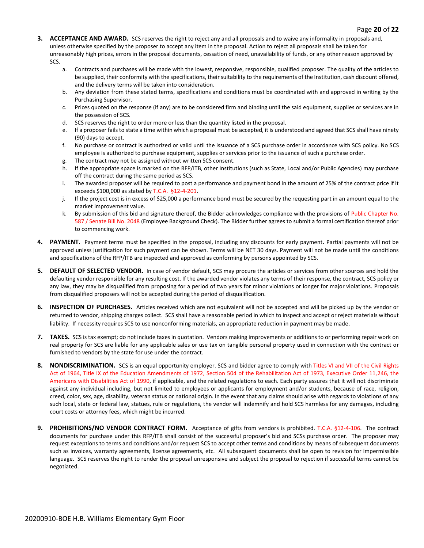- **3. ACCEPTANCE AND AWARD.** SCS reserves the right to reject any and all proposals and to waive any informality in proposals and, unless otherwise specified by the proposer to accept any item in the proposal. Action to reject all proposals shall be taken for unreasonably high prices, errors in the proposal documents, cessation of need, unavailability of funds, or any other reason approved by SCS.
	- a. Contracts and purchases will be made with the lowest, responsive, responsible, qualified proposer. The quality of the articles to be supplied, their conformity with the specifications, their suitability to the requirements of the Institution, cash discount offered, and the delivery terms will be taken into consideration.
	- b. Any deviation from these stated terms, specifications and conditions must be coordinated with and approved in writing by the Purchasing Supervisor.
	- c. Prices quoted on the response (if any) are to be considered firm and binding until the said equipment, supplies or services are in the possession of SCS.
	- d. SCS reserves the right to order more or less than the quantity listed in the proposal.
	- e. If a proposer fails to state a time within which a proposal must be accepted, it is understood and agreed that SCS shall have ninety (90) days to accept.
	- f. No purchase or contract is authorized or valid until the issuance of a SCS purchase order in accordance with SCS policy. No SCS employee is authorized to purchase equipment, supplies or services prior to the issuance of such a purchase order.
	- g. The contract may not be assigned without written SCS consent.
	- h. If the appropriate space is marked on the RFP/ITB, other Institutions (such as State, Local and/or Public Agencies) may purchase off the contract during the same period as SCS.
	- i. The awarded proposer will be required to post a performance and payment bond in the amount of 25% of the contract price if it exceeds \$100,000 as stated by T.C.A. §12-4-201.
	- j. If the project cost is in excess of \$25,000 a performance bond must be secured by the requesting part in an amount equal to the market improvement value.
	- k. By submission of this bid and signature thereof, the Bidder acknowledges compliance with the provisions of Public Chapter No. 587 / Senate Bill No. 2048 (Employee Background Check). The Bidder further agrees to submit a formal certification thereof prior to commencing work.
- **4. PAYMENT**. Payment terms must be specified in the proposal, including any discounts for early payment. Partial payments will not be approved unless justification for such payment can be shown. Terms will be NET 30 days. Payment will not be made until the conditions and specifications of the RFP/ITB are inspected and approved as conforming by persons appointed by SCS.
- **5. DEFAULT OF SELECTED VENDOR.** In case of vendor default, SCS may procure the articles or services from other sources and hold the defaulting vendor responsible for any resulting cost. If the awarded vendor violates any terms of their response, the contract, SCS policy or any law, they may be disqualified from proposing for a period of two years for minor violations or longer for major violations. Proposals from disqualified proposers will not be accepted during the period of disqualification.
- **6. INSPECTION OF PURCHASES.** Articles received which are not equivalent will not be accepted and will be picked up by the vendor or returned to vendor, shipping charges collect. SCS shall have a reasonable period in which to inspect and accept or reject materials without liability. If necessity requires SCS to use nonconforming materials, an appropriate reduction in payment may be made.
- **7. TAXES.** SCS is tax exempt; do not include taxes in quotation. Vendors making improvements or additions to or performing repair work on real property for SCS are liable for any applicable sales or use tax on tangible personal property used in connection with the contract or furnished to vendors by the state for use under the contract.
- 8. NONDISCRIMINATION. SCS is an equal opportunity employer. SCS and bidder agree to comply with Titles VI and VII of the Civil Rights Act of 1964, Title IX of the Education Amendments of 1972, Section 504 of the Rehabilitation Act of 1973, Executive Order 11,246, the Americans with Disabilities Act of 1990, if applicable, and the related regulations to each. Each party assures that it will not discriminate against any individual including, but not limited to employees or applicants for employment and/or students, because of race, religion, creed, color, sex, age, disability, veteran status or national origin. In the event that any claims should arise with regards to violations of any such local, state or federal law, statues, rule or regulations, the vendor will indemnify and hold SCS harmless for any damages, including court costs or attorney fees, which might be incurred.
- **9. PROHIBITIONS/NO VENDOR CONTRACT FORM.** Acceptance of gifts from vendors is prohibited. T.C.A. §12-4-106. The contract documents for purchase under this RFP/ITB shall consist of the successful proposer's bid and SCSs purchase order. The proposer may request exceptions to terms and conditions and/or request SCS to accept other terms and conditions by means of subsequent documents such as invoices, warranty agreements, license agreements, etc. All subsequent documents shall be open to revision for impermissible language. SCS reserves the right to render the proposal unresponsive and subject the proposal to rejection if successful terms cannot be negotiated.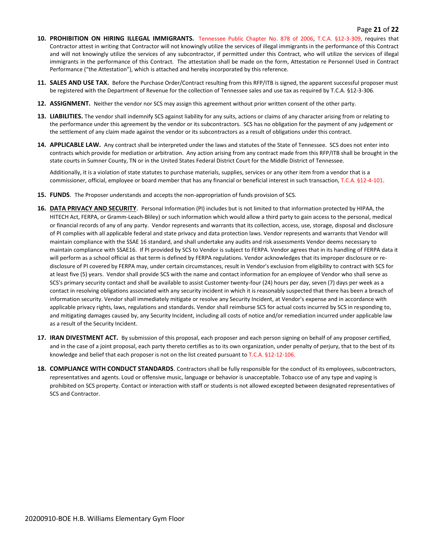#### Page **21** of **22**

- **10. PROHIBITION ON HIRING ILLEGAL IMMIGRANTS.** Tennessee Public Chapter No. 878 of 2006, T.C.A. §12-3-309, requires that Contractor attest in writing that Contractor will not knowingly utilize the services of illegal immigrants in the performance of this Contract and will not knowingly utilize the services of any subcontractor, if permitted under this Contract, who will utilize the services of illegal immigrants in the performance of this Contract. The attestation shall be made on the form, Attestation re Personnel Used in Contract Performance ("the Attestation"), which is attached and hereby incorporated by this reference.
- **11. SALES AND USE TAX.** Before the Purchase Order/Contract resulting from this RFP/ITB is signed, the apparent successful proposer must be registered with the Department of Revenue for the collection of Tennessee sales and use tax as required by T.C.A. §12-3-306.
- **12. ASSIGNMENT.** Neither the vendor nor SCS may assign this agreement without prior written consent of the other party.
- **13. LIABILITIES.** The vendor shall indemnify SCS against liability for any suits, actions or claims of any character arising from or relating to the performance under this agreement by the vendor or its subcontractors. SCS has no obligation for the payment of any judgement or the settlement of any claim made against the vendor or its subcontractors as a result of obligations under this contract.
- **14. APPLICABLE LAW.** Any contract shall be interpreted under the laws and statutes of the State of Tennessee. SCS does not enter into contracts which provide for mediation or arbitration. Any action arising from any contract made from this RFP/ITB shall be brought in the state courts in Sumner County, TN or in the United States Federal District Court for the Middle District of Tennessee.

Additionally, it is a violation of state statutes to purchase materials, supplies, services or any other item from a vendor that is a commissioner, official, employee or board member that has any financial or beneficial interest in such transaction, T.C.A. §12-4-101.

- **15. FUNDS**. The Proposer understands and accepts the non-appropriation of funds provision of SCS.
- **16. DATA PRIVACY AND SECURITY**. Personal Information (PI) includes but is not limited to that information protected by HIPAA, the HITECH Act, FERPA, or Gramm-Leach-Bliley) or such information which would allow a third party to gain access to the personal, medical or financial records of any of any party. Vendor represents and warrants that its collection, access, use, storage, disposal and disclosure of PI complies with all applicable federal and state privacy and data protection laws. Vendor represents and warrants that Vendor will maintain compliance with the SSAE 16 standard, and shall undertake any audits and risk assessments Vendor deems necessary to maintain compliance with SSAE16. If PI provided by SCS to Vendor is subject to FERPA. Vendor agrees that in its handling of FERPA data it will perform as a school official as that term is defined by FERPA regulations. Vendor acknowledges that its improper disclosure or redisclosure of PI covered by FERPA may, under certain circumstances, result in Vendor's exclusion from eligibility to contract with SCS for at least five (5) years. Vendor shall provide SCS with the name and contact information for an employee of Vendor who shall serve as SCS's primary security contact and shall be available to assist Customer twenty-four (24) hours per day, seven (7) days per week as a contact in resolving obligations associated with any security incident in which it is reasonably suspected that there has been a breach of information security. Vendor shall immediately mitigate or resolve any Security Incident, at Vendor's expense and in accordance with applicable privacy rights, laws, regulations and standards. Vendor shall reimburse SCS for actual costs incurred by SCS in responding to, and mitigating damages caused by, any Security Incident, including all costs of notice and/or remediation incurred under applicable law as a result of the Security Incident.
- **17. IRAN DIVESTMENT ACT.** By submission of this proposal, each proposer and each person signing on behalf of any proposer certified, and in the case of a joint proposal, each party thereto certifies as to its own organization, under penalty of perjury, that to the best of its knowledge and belief that each proposer is not on the list created pursuant to T.C.A. §12-12-106.
- **18. COMPLIANCE WITH CONDUCT STANDARDS**. Contractors shall be fully responsible for the conduct of its employees, subcontractors, representatives and agents. Loud or offensive music, language or behavior is unacceptable. Tobacco use of any type and vaping is prohibited on SCS property. Contact or interaction with staff or students is not allowed excepted between designated representatives of SCS and Contractor.